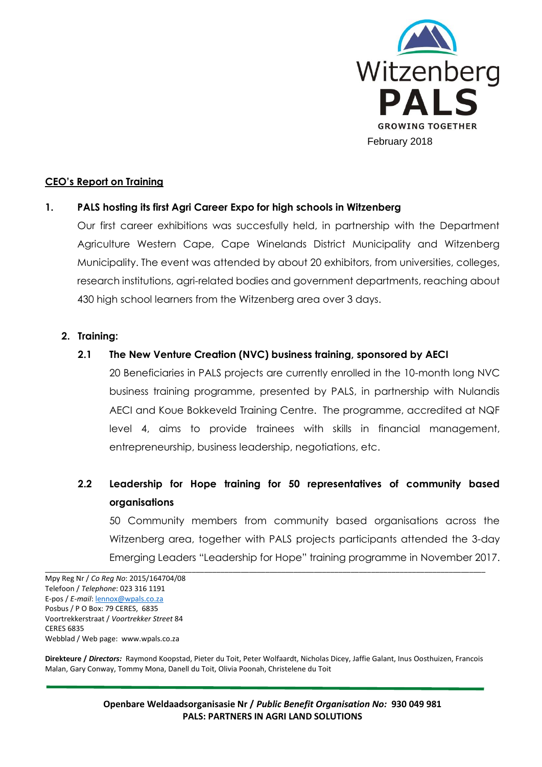

## **CEO's Report on Training**

## **1. PALS hosting its first Agri Career Expo for high schools in Witzenberg**

Our first career exhibitions was succesfully held, in partnership with the Department Agriculture Western Cape, Cape Winelands District Municipality and Witzenberg Municipality. The event was attended by about 20 exhibitors, from universities, colleges, research institutions, agri-related bodies and government departments, reaching about 430 high school learners from the Witzenberg area over 3 days.

#### **2. Training:**

#### **2.1 The New Venture Creation (NVC) business training, sponsored by AECI**

20 Beneficiaries in PALS projects are currently enrolled in the 10-month long NVC business training programme, presented by PALS, in partnership with Nulandis AECI and Koue Bokkeveld Training Centre. The programme, accredited at NQF level 4, aims to provide trainees with skills in financial management, entrepreneurship, business leadership, negotiations, etc.

# **2.2 Leadership for Hope training for 50 representatives of community based organisations**

50 Community members from community based organisations across the Witzenberg area, together with PALS projects participants attended the 3-day Emerging Leaders "Leadership for Hope" training programme in November 2017.

**Direkteure /** *Directors:* Raymond Koopstad, Pieter du Toit, Peter Wolfaardt, Nicholas Dicey, Jaffie Galant, Inus Oosthuizen, Francois Malan, Gary Conway, Tommy Mona, Danell du Toit, Olivia Poonah, Christelene du Toit

\_\_\_\_\_\_\_\_\_\_\_\_\_\_\_\_\_\_\_\_\_\_\_\_\_\_\_\_\_\_\_\_\_\_\_\_\_\_\_\_\_\_\_\_\_\_\_\_\_\_\_\_\_\_\_\_\_\_\_\_\_\_\_\_\_\_\_\_\_\_\_\_\_\_\_\_\_\_\_\_\_\_\_\_\_\_\_\_\_\_\_\_\_\_\_\_\_\_\_\_\_\_\_\_\_\_\_\_

**Openbare Weldaadsorganisasie Nr /** *Public Benefit Organisation No:* **930 049 981 PALS: PARTNERS IN AGRI LAND SOLUTIONS**

Mpy Reg Nr / *Co Reg No*: 2015/164704/08 Telefoon / *Telephone*: 023 316 1191 E-pos / *E-mail*[: lennox@wpals.co.za](mailto:lennox@wpals.co.za) Posbus / P O Box: 79 CERES, 6835 Voortrekkerstraat / *Voortrekker Street* 84 CERES 6835 Webblad / Web page: www.wpals.co.za